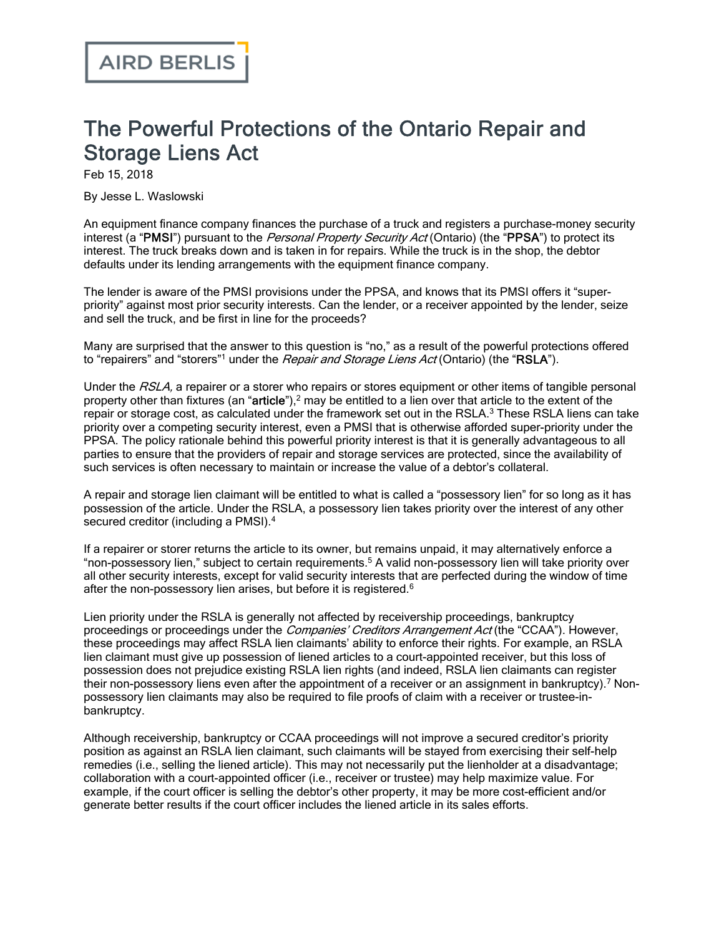## The Powerful Protections of the Ontario Repair and Storage Liens Act

Feb 15, 2018

By Jesse L. Waslowski

An equipment finance company finances the purchase of a truck and registers a purchase-money security interest (a "PMSI") pursuant to the *Personal Property Security Act* (Ontario) (the "PPSA") to protect its interest. The truck breaks down and is taken in for repairs. While the truck is in the shop, the debtor defaults under its lending arrangements with the equipment finance company.

The lender is aware of the PMSI provisions under the PPSA, and knows that its PMSI offers it "superpriority" against most prior security interests. Can the lender, or a receiver appointed by the lender, seize and sell the truck, and be first in line for the proceeds?

Many are surprised that the answer to this question is "no," as a result of the powerful protections offered to "repairers" and "storers"<sup>1</sup> under the *Repair and Storage Liens Act* (Ontario) (the "RSLA").

Under the RSLA, a repairer or a storer who repairs or stores equipment or other items of tangible personal property other than fixtures (an "article"),<sup>2</sup> may be entitled to a lien over that article to the extent of the repair or storage cost, as calculated under the framework set out in the RSLA.<sup>3</sup> These RSLA liens can take priority over a competing security interest, even a PMSI that is otherwise afforded super-priority under the PPSA. The policy rationale behind this powerful priority interest is that it is generally advantageous to all parties to ensure that the providers of repair and storage services are protected, since the availability of such services is often necessary to maintain or increase the value of a debtor's collateral.

A repair and storage lien claimant will be entitled to what is called a "possessory lien" for so long as it has possession of the article. Under the RSLA, a possessory lien takes priority over the interest of any other secured creditor (including a PMSI).<sup>4</sup>

If a repairer or storer returns the article to its owner, but remains unpaid, it may alternatively enforce a "non-possessory lien," subject to certain requirements.<sup>5</sup> A valid non-possessory lien will take priority over all other security interests, except for valid security interests that are perfected during the window of time after the non-possessory lien arises, but before it is registered.<sup>6</sup>

Lien priority under the RSLA is generally not affected by receivership proceedings, bankruptcy proceedings or proceedings under the Companies' Creditors Arrangement Act (the "CCAA"). However, these proceedings may affect RSLA lien claimants' ability to enforce their rights. For example, an RSLA lien claimant must give up possession of liened articles to a court-appointed receiver, but this loss of possession does not prejudice existing RSLA lien rights (and indeed, RSLA lien claimants can register their non-possessory liens even after the appointment of a receiver or an assignment in bankruptcy).<sup>7</sup> Nonpossessory lien claimants may also be required to file proofs of claim with a receiver or trustee-inbankruptcy.

Although receivership, bankruptcy or CCAA proceedings will not improve a secured creditor's priority position as against an RSLA lien claimant, such claimants will be stayed from exercising their self-help remedies (i.e., selling the liened article). This may not necessarily put the lienholder at a disadvantage; collaboration with a court-appointed officer (i.e., receiver or trustee) may help maximize value. For example, if the court officer is selling the debtor's other property, it may be more cost-efficient and/or generate better results if the court officer includes the liened article in its sales efforts.